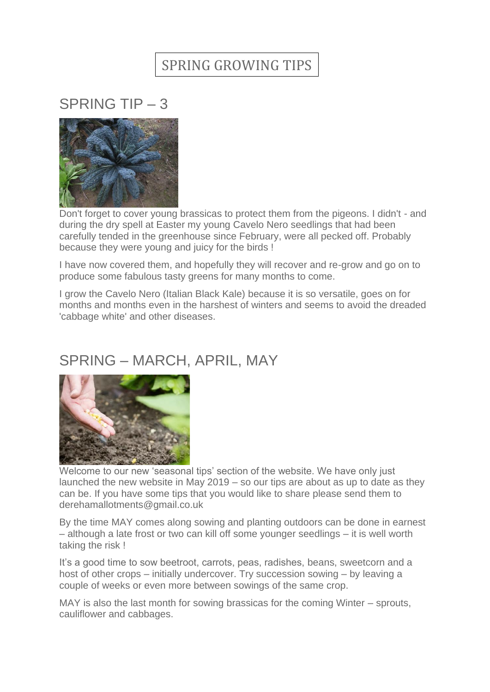## SPRING GROWING TIPS

## SPRING TIP – 3



Don't forget to cover young brassicas to protect them from the pigeons. I didn't - and during the dry spell at Easter my young Cavelo Nero seedlings that had been carefully tended in the greenhouse since February, were all pecked off. Probably because they were young and juicy for the birds !

I have now covered them, and hopefully they will recover and re-grow and go on to produce some fabulous tasty greens for many months to come.

I grow the Cavelo Nero (Italian Black Kale) because it is so versatile, goes on for months and months even in the harshest of winters and seems to avoid the dreaded 'cabbage white' and other diseases.

## SPRING – MARCH, APRIL, MAY



Welcome to our new 'seasonal tips' section of the website. We have only just launched the new website in May 2019 – so our tips are about as up to date as they can be. If you have some tips that you would like to share please send them to derehamallotments@gmail.co.uk

By the time MAY comes along sowing and planting outdoors can be done in earnest – although a late frost or two can kill off some younger seedlings – it is well worth taking the risk !

It's a good time to sow beetroot, carrots, peas, radishes, beans, sweetcorn and a host of other crops – initially undercover. Try succession sowing – by leaving a couple of weeks or even more between sowings of the same crop.

MAY is also the last month for sowing brassicas for the coming Winter – sprouts, cauliflower and cabbages.